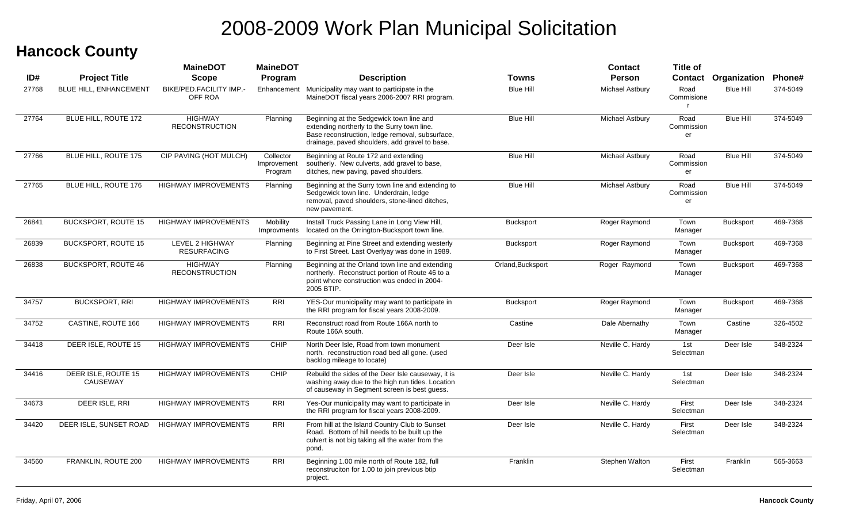#### **Hancock County**

|       |                                 | <b>MaineDOT</b>                         | <b>MaineDOT</b>                     |                                                                                                                                                                                              |                   | Contact                | <b>Title of</b>                    |                             |          |
|-------|---------------------------------|-----------------------------------------|-------------------------------------|----------------------------------------------------------------------------------------------------------------------------------------------------------------------------------------------|-------------------|------------------------|------------------------------------|-----------------------------|----------|
| ID#   | <b>Project Title</b>            | <b>Scope</b>                            | Program                             | <b>Description</b>                                                                                                                                                                           | Towns             | <b>Person</b>          |                                    | <b>Contact Organization</b> | Phone#   |
| 27768 | <b>BLUE HILL, ENHANCEMENT</b>   | BIKE/PED.FACILITY IMP.-<br>OFF ROA      | Enhancement                         | Municipality may want to participate in the<br>MaineDOT fiscal years 2006-2007 RRI program.                                                                                                  | <b>Blue Hill</b>  | <b>Michael Astbury</b> | Road<br>Commisione<br>$\mathbf{r}$ | <b>Blue Hill</b>            | 374-5049 |
| 27764 | BLUE HILL, ROUTE 172            | <b>HIGHWAY</b><br><b>RECONSTRUCTION</b> | Planning                            | Beginning at the Sedgewick town line and<br>extending northerly to the Surry town line.<br>Base reconstruction, ledge removal, subsurface,<br>drainage, paved shoulders, add gravel to base. | <b>Blue Hill</b>  | Michael Astbury        | Road<br>Commission<br>er           | <b>Blue Hill</b>            | 374-5049 |
| 27766 | BLUE HILL, ROUTE 175            | CIP PAVING (HOT MULCH)                  | Collector<br>Improvement<br>Program | Beginning at Route 172 and extending<br>southerly. New culverts, add gravel to base,<br>ditches, new paving, paved shoulders.                                                                | <b>Blue Hill</b>  | Michael Astbury        | Road<br>Commission<br>er           | <b>Blue Hill</b>            | 374-5049 |
| 27765 | BLUE HILL, ROUTE 176            | <b>HIGHWAY IMPROVEMENTS</b>             | Planning                            | Beginning at the Surry town line and extending to<br>Sedgewick town line. Underdrain, ledge<br>removal, paved shoulders, stone-lined ditches,<br>new pavement.                               | <b>Blue Hill</b>  | Michael Astbury        | Road<br>Commission<br>er           | <b>Blue Hill</b>            | 374-5049 |
| 26841 | <b>BUCKSPORT, ROUTE 15</b>      | <b>HIGHWAY IMPROVEMENTS</b>             | Mobility<br>Improvments             | Install Truck Passing Lane in Long View Hill,<br>located on the Orrington-Bucksport town line.                                                                                               | <b>Bucksport</b>  | Roger Raymond          | Town<br>Manager                    | <b>Bucksport</b>            | 469-7368 |
| 26839 | <b>BUCKSPORT, ROUTE 15</b>      | LEVEL 2 HIGHWAY<br><b>RESURFACING</b>   | Planning                            | Beginning at Pine Street and extending westerly<br>to First Street. Last Overlyay was done in 1989.                                                                                          | <b>Bucksport</b>  | Roger Raymond          | Town<br>Manager                    | Bucksport                   | 469-7368 |
| 26838 | <b>BUCKSPORT, ROUTE 46</b>      | <b>HIGHWAY</b><br><b>RECONSTRUCTION</b> | Planning                            | Beginning at the Orland town line and extending<br>northerly. Reconstruct portion of Route 46 to a<br>point where construction was ended in 2004-<br>2005 BTIP.                              | Orland, Bucksport | Roger Raymond          | Town<br>Manager                    | Bucksport                   | 469-7368 |
| 34757 | <b>BUCKSPORT, RRI</b>           | <b>HIGHWAY IMPROVEMENTS</b>             | <b>RRI</b>                          | YES-Our municipality may want to participate in<br>the RRI program for fiscal years 2008-2009.                                                                                               | <b>Bucksport</b>  | Roger Raymond          | Town<br>Manager                    | <b>Bucksport</b>            | 469-7368 |
| 34752 | CASTINE, ROUTE 166              | <b>HIGHWAY IMPROVEMENTS</b>             | RRI                                 | Reconstruct road from Route 166A north to<br>Route 166A south.                                                                                                                               | Castine           | Dale Abernathy         | Town<br>Manager                    | Castine                     | 326-4502 |
| 34418 | DEER ISLE, ROUTE 15             | <b>HIGHWAY IMPROVEMENTS</b>             | CHIP                                | North Deer Isle, Road from town monument<br>north. reconstruction road bed all gone. (used<br>backlog mileage to locate)                                                                     | Deer Isle         | Neville C. Hardy       | 1st<br>Selectman                   | Deer Isle                   | 348-2324 |
| 34416 | DEER ISLE, ROUTE 15<br>CAUSEWAY | <b>HIGHWAY IMPROVEMENTS</b>             | <b>CHIP</b>                         | Rebuild the sides of the Deer Isle causeway, it is<br>washing away due to the high run tides. Location<br>of causeway in Segment screen is best guess.                                       | Deer Isle         | Neville C. Hardy       | 1st<br>Selectman                   | Deer Isle                   | 348-2324 |
| 34673 | DEER ISLE, RRI                  | <b>HIGHWAY IMPROVEMENTS</b>             | <b>RRI</b>                          | Yes-Our municipality may want to participate in<br>the RRI program for fiscal years 2008-2009.                                                                                               | Deer Isle         | Neville C. Hardy       | First<br>Selectman                 | Deer Isle                   | 348-2324 |
| 34420 | DEER ISLE, SUNSET ROAD          | <b>HIGHWAY IMPROVEMENTS</b>             | RRI                                 | From hill at the Island Country Club to Sunset<br>Road. Bottom of hill needs to be built up the<br>culvert is not big taking all the water from the<br>pond.                                 | Deer Isle         | Neville C. Hardy       | First<br>Selectman                 | Deer Isle                   | 348-2324 |
| 34560 | FRANKLIN, ROUTE 200             | <b>HIGHWAY IMPROVEMENTS</b>             | <b>RRI</b>                          | Beginning 1.00 mile north of Route 182, full<br>reconstruciton for 1.00 to join previous btip<br>project.                                                                                    | Franklin          | <b>Stephen Walton</b>  | First<br>Selectman                 | Franklin                    | 565-3663 |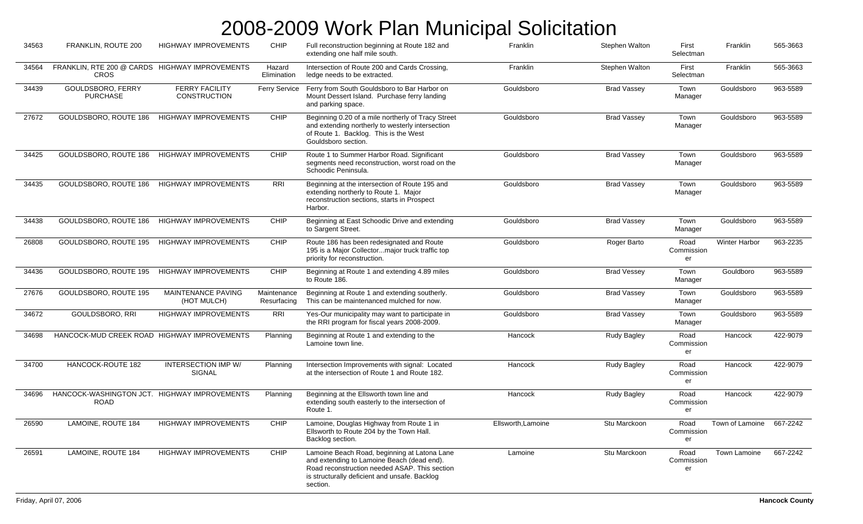| 34563 | FRANKLIN, ROUTE 200                                         | <b>HIGHWAY IMPROVEMENTS</b>                  | CHIP                       | Full reconstruction beginning at Route 182 and<br>extending one half mile south.                                                                                                                         | Franklin           | Stephen Walton        | First<br>Selectman       | Franklin                 | 565-3663 |
|-------|-------------------------------------------------------------|----------------------------------------------|----------------------------|----------------------------------------------------------------------------------------------------------------------------------------------------------------------------------------------------------|--------------------|-----------------------|--------------------------|--------------------------|----------|
| 34564 | FRANKLIN, RTE 200 @ CARDS HIGHWAY IMPROVEMENTS<br>CROS      |                                              | Hazard<br>Elimination      | Intersection of Route 200 and Cards Crossing,<br>ledge needs to be extracted.                                                                                                                            | Franklin           | <b>Stephen Walton</b> | First<br>Selectman       | Franklin                 | 565-3663 |
| 34439 | GOULDSBORO, FERRY<br><b>PURCHASE</b>                        | <b>FERRY FACILITY</b><br><b>CONSTRUCTION</b> | <b>Ferry Service</b>       | Ferry from South Gouldsboro to Bar Harbor on<br>Mount Dessert Island. Purchase ferry landing<br>and parking space.                                                                                       | Gouldsboro         | <b>Brad Vassey</b>    | Town<br>Manager          | Gouldsboro               | 963-5589 |
| 27672 | GOULDSBORO, ROUTE 186                                       | <b>HIGHWAY IMPROVEMENTS</b>                  | CHIP                       | Beginning 0.20 of a mile northerly of Tracy Street<br>and extending northerly to westerly intersection<br>of Route 1. Backlog. This is the West<br>Gouldsboro section.                                   | Gouldsboro         | <b>Brad Vassey</b>    | Town<br>Manager          | Gouldsboro               | 963-5589 |
| 34425 | GOULDSBORO, ROUTE 186                                       | <b>HIGHWAY IMPROVEMENTS</b>                  | CHIP                       | Route 1 to Summer Harbor Road. Significant<br>segments need reconstruction, worst road on the<br>Schoodic Peninsula.                                                                                     | Gouldsboro         | <b>Brad Vassey</b>    | Town<br>Manager          | Gouldsboro               | 963-5589 |
| 34435 | GOULDSBORO, ROUTE 186                                       | <b>HIGHWAY IMPROVEMENTS</b>                  | RRI                        | Beginning at the intersection of Route 195 and<br>extending northerly to Route 1. Major<br>reconstruction sections, starts in Prospect<br>Harbor.                                                        | Gouldsboro         | <b>Brad Vassey</b>    | Town<br>Manager          | Gouldsboro               | 963-5589 |
| 34438 | GOULDSBORO, ROUTE 186                                       | <b>HIGHWAY IMPROVEMENTS</b>                  | CHIP                       | Beginning at East Schoodic Drive and extending<br>to Sargent Street.                                                                                                                                     | Gouldsboro         | <b>Brad Vassey</b>    | Town<br>Manager          | Gouldsboro               | 963-5589 |
| 26808 | GOULDSBORO, ROUTE 195                                       | <b>HIGHWAY IMPROVEMENTS</b>                  | CHIP                       | Route 186 has been redesignated and Route<br>195 is a Major Collectormajor truck traffic top<br>priority for reconstruction.                                                                             | Gouldsboro         | Roger Barto           | Road<br>Commission<br>er | <b>Winter Harbor</b>     | 963-2235 |
| 34436 | GOULDSBORO, ROUTE 195                                       | <b>HIGHWAY IMPROVEMENTS</b>                  | CHIP                       | Beginning at Route 1 and extending 4.89 miles<br>to Route 186.                                                                                                                                           | Gouldsboro         | <b>Brad Vessey</b>    | Town<br>Manager          | Gouldboro                | 963-5589 |
| 27676 | GOULDSBORO, ROUTE 195                                       | MAINTENANCE PAVING<br>(HOT MULCH)            | Maintenance<br>Resurfacing | Beginning at Route 1 and extending southerly.<br>This can be maintenanced mulched for now.                                                                                                               | Gouldsboro         | <b>Brad Vassey</b>    | Town<br>Manager          | Gouldsboro               | 963-5589 |
| 34672 | GOULDSBORO, RRI                                             | <b>HIGHWAY IMPROVEMENTS</b>                  | <b>RRI</b>                 | Yes-Our municipality may want to participate in<br>the RRI program for fiscal years 2008-2009.                                                                                                           | Gouldsboro         | <b>Brad Vassey</b>    | Town<br>Manager          | Gouldsboro               | 963-5589 |
| 34698 | HANCOCK-MUD CREEK ROAD HIGHWAY IMPROVEMENTS                 |                                              | Planning                   | Beginning at Route 1 and extending to the<br>Lamoine town line.                                                                                                                                          | Hancock            | <b>Rudy Bagley</b>    | Road<br>Commission<br>er | Hancock                  | 422-9079 |
| 34700 | HANCOCK-ROUTE 182                                           | INTERSECTION IMP W/<br>SIGNAL                | Planning                   | Intersection Improvements with signal: Located<br>at the intersection of Route 1 and Route 182.                                                                                                          | Hancock            | Rudy Bagley           | Road<br>Commission<br>er | Hancock                  | 422-9079 |
| 34696 | HANCOCK-WASHINGTON JCT. HIGHWAY IMPROVEMENTS<br><b>ROAD</b> |                                              | Planning                   | Beginning at the Ellsworth town line and<br>extending south easterly to the intersection of<br>Route 1.                                                                                                  | Hancock            | <b>Rudy Bagley</b>    | Road<br>Commission<br>er | Hancock                  | 422-9079 |
| 26590 | LAMOINE, ROUTE 184                                          | <b>HIGHWAY IMPROVEMENTS</b>                  | CHIP                       | Lamoine, Douglas Highway from Route 1 in<br>Ellsworth to Route 204 by the Town Hall.<br>Backlog section.                                                                                                 | Ellsworth, Lamoine | Stu Marckoon          | Road<br>Commission<br>er | Town of Lamoine 667-2242 |          |
| 26591 | LAMOINE, ROUTE 184                                          | <b>HIGHWAY IMPROVEMENTS</b>                  | CHIP                       | Lamoine Beach Road, beginning at Latona Lane<br>and extending to Lamoine Beach (dead end).<br>Road reconstruction needed ASAP. This section<br>is structurally deficient and unsafe. Backlog<br>section. | Lamoine            | Stu Marckoon          | Road<br>Commission<br>er | Town Lamoine             | 667-2242 |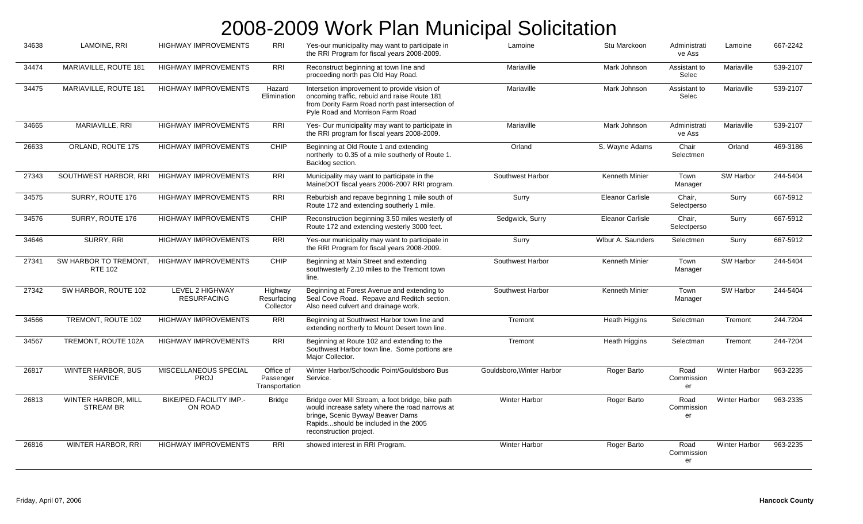| 34638 | LAMOINE, RRI                                | <b>HIGHWAY IMPROVEMENTS</b>                  | <b>RRI</b>                               | Yes-our municipality may want to participate in<br>the RRI Program for fiscal years 2008-2009.                                                                                                               | Lamoine                   | Stu Marckoon            | Administrati<br>ve Ass   | Lamoine              | 667-2242 |
|-------|---------------------------------------------|----------------------------------------------|------------------------------------------|--------------------------------------------------------------------------------------------------------------------------------------------------------------------------------------------------------------|---------------------------|-------------------------|--------------------------|----------------------|----------|
| 34474 | MARIAVILLE, ROUTE 181                       | <b>HIGHWAY IMPROVEMENTS</b>                  | RRI                                      | Reconstruct beginning at town line and<br>proceeding north pas Old Hay Road.                                                                                                                                 | Mariaville                | Mark Johnson            | Assistant to<br>Selec    | Mariaville           | 539-2107 |
| 34475 | MARIAVILLE, ROUTE 181                       | <b>HIGHWAY IMPROVEMENTS</b>                  | Hazard<br>Elimination                    | Intersetion improvement to provide vision of<br>oncoming traffic, rebuid and raise Route 181<br>from Dority Farm Road north past intersection of<br>Pyle Road and Morrison Farm Road                         | Mariaville                | Mark Johnson            | Assistant to<br>Selec    | Mariaville           | 539-2107 |
| 34665 | MARIAVILLE, RRI                             | <b>HIGHWAY IMPROVEMENTS</b>                  | <b>RRI</b>                               | Yes- Our municipality may want to participate in<br>the RRI program for fiscal years 2008-2009.                                                                                                              | Mariaville                | Mark Johnson            | Administrati<br>ve Ass   | Mariaville           | 539-2107 |
| 26633 | ORLAND, ROUTE 175                           | <b>HIGHWAY IMPROVEMENTS</b>                  | CHIP                                     | Beginning at Old Route 1 and extending<br>northerly to 0.35 of a mile southerly of Route 1.<br>Backlog section.                                                                                              | Orland                    | S. Wayne Adams          | Chair<br>Selectmen       | Orland               | 469-3186 |
| 27343 | SOUTHWEST HARBOR, RRI                       | <b>HIGHWAY IMPROVEMENTS</b>                  | <b>RRI</b>                               | Municipality may want to participate in the<br>MaineDOT fiscal years 2006-2007 RRI program.                                                                                                                  | Southwest Harbor          | <b>Kenneth Minier</b>   | Town<br>Manager          | SW Harbor            | 244-5404 |
| 34575 | SURRY, ROUTE 176                            | <b>HIGHWAY IMPROVEMENTS</b>                  | <b>RRI</b>                               | Reburbish and repave beginning 1 mile south of<br>Route 172 and extending southerly 1 mile.                                                                                                                  | Surry                     | <b>Eleanor Carlisle</b> | Chair,<br>Selectperso    | Surry                | 667-5912 |
| 34576 | SURRY, ROUTE 176                            | <b>HIGHWAY IMPROVEMENTS</b>                  | CHIP                                     | Reconstruction beginning 3.50 miles westerly of<br>Route 172 and extending westerly 3000 feet.                                                                                                               | Sedgwick, Surry           | <b>Eleanor Carlisle</b> | Chair,<br>Selectperso    | Surry                | 667-5912 |
| 34646 | SURRY, RRI                                  | <b>HIGHWAY IMPROVEMENTS</b>                  | <b>RRI</b>                               | Yes-our municipality may want to participate in<br>the RRI Program for fiscal years 2008-2009.                                                                                                               | Surry                     | Wlbur A. Saunders       | Selectmen                | Surry                | 667-5912 |
| 27341 | SW HARBOR TO TREMONT,<br><b>RTE 102</b>     | <b>HIGHWAY IMPROVEMENTS</b>                  | CHIP                                     | Beginning at Main Street and extending<br>southwesterly 2.10 miles to the Tremont town<br>line.                                                                                                              | Southwest Harbor          | <b>Kenneth Minier</b>   | Town<br>Manager          | SW Harbor            | 244-5404 |
| 27342 | SW HARBOR, ROUTE 102                        | <b>LEVEL 2 HIGHWAY</b><br><b>RESURFACING</b> | Highway<br>Resurfacing<br>Collector      | Beginning at Forest Avenue and extending to<br>Seal Cove Road. Repave and Reditch section.<br>Also need culvert and drainage work.                                                                           | Southwest Harbor          | <b>Kenneth Minier</b>   | Town<br>Manager          | SW Harbor            | 244-5404 |
| 34566 | TREMONT, ROUTE 102                          | <b>HIGHWAY IMPROVEMENTS</b>                  | <b>RRI</b>                               | Beginning at Southwest Harbor town line and<br>extending northerly to Mount Desert town line.                                                                                                                | Tremont                   | Heath Higgins           | Selectman                | Tremont              | 244.7204 |
| 34567 | TREMONT, ROUTE 102A                         | <b>HIGHWAY IMPROVEMENTS</b>                  | <b>RRI</b>                               | Beginning at Route 102 and extending to the<br>Southwest Harbor town line. Some portions are<br>Major Collector.                                                                                             | Tremont                   | <b>Heath Higgins</b>    | Selectman                | Tremont              | 244-7204 |
| 26817 | <b>WINTER HARBOR, BUS</b><br><b>SERVICE</b> | MISCELLANEOUS SPECIAL<br><b>PROJ</b>         | Office of<br>Passenger<br>Transportation | Winter Harbor/Schoodic Point/Gouldsboro Bus<br>Service.                                                                                                                                                      | Gouldsboro, Winter Harbor | Roger Barto             | Road<br>Commission<br>er | <b>Winter Harbor</b> | 963-2235 |
| 26813 | WINTER HARBOR, MILL<br><b>STREAM BR</b>     | BIKE/PED.FACILITY IMP.-<br>ON ROAD           | <b>Bridge</b>                            | Bridge over Mill Stream, a foot bridge, bike path<br>would increase safety where the road narrows at<br>bringe, Scenic Byway/ Beaver Dams<br>Rapidsshould be included in the 2005<br>reconstruction project. | <b>Winter Harbor</b>      | Roger Barto             | Road<br>Commission<br>er | <b>Winter Harbor</b> | 963-2335 |
| 26816 | <b>WINTER HARBOR, RRI</b>                   | <b>HIGHWAY IMPROVEMENTS</b>                  | <b>RRI</b>                               | showed interest in RRI Program.                                                                                                                                                                              | <b>Winter Harbor</b>      | Roger Barto             | Road<br>Commission<br>er | Winter Harbor        | 963-2235 |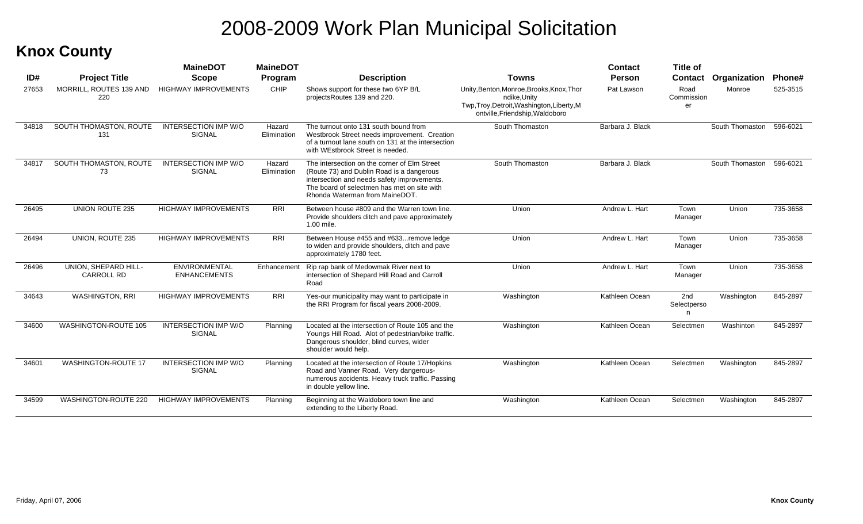#### **Knox County**

|       |                                           | <b>MaineDOT</b>                              | <b>MaineDOT</b>       |                                                                                                                                                                                                                           |                                                                                                                                            | <b>Contact</b>   | <b>Title of</b>          |                 |          |
|-------|-------------------------------------------|----------------------------------------------|-----------------------|---------------------------------------------------------------------------------------------------------------------------------------------------------------------------------------------------------------------------|--------------------------------------------------------------------------------------------------------------------------------------------|------------------|--------------------------|-----------------|----------|
| ID#   | <b>Project Title</b>                      | <b>Scope</b>                                 | Program               | <b>Description</b>                                                                                                                                                                                                        | <b>Towns</b>                                                                                                                               | <b>Person</b>    | <b>Contact</b>           | Organization    | Phone#   |
| 27653 | <b>MORRILL, ROUTES 139 AND</b><br>220     | <b>HIGHWAY IMPROVEMENTS</b>                  | CHIP                  | Shows support for these two 6YP B/L<br>projectsRoutes 139 and 220.                                                                                                                                                        | Unity, Benton, Monroe, Brooks, Knox, Thor<br>ndike, Unity<br>Twp, Troy, Detroit, Washington, Liberty, M<br>ontville, Friendship, Waldoboro | Pat Lawson       | Road<br>Commission<br>er | Monroe          | 525-3515 |
| 34818 | SOUTH THOMASTON, ROUTE<br>131             | <b>INTERSECTION IMP W/O</b><br><b>SIGNAL</b> | Hazard<br>Elimination | The turnout onto 131 south bound from<br>Westbrook Street needs improvement. Creation<br>of a turnout lane south on 131 at the intersection<br>with WEstbrook Street is needed.                                           | South Thomaston                                                                                                                            | Barbara J. Black |                          | South Thomaston | 596-6021 |
| 34817 | SOUTH THOMASTON, ROUTE<br>73              | <b>INTERSECTION IMP W/O</b><br><b>SIGNAL</b> | Hazard<br>Elimination | The intersection on the corner of Elm Street<br>(Route 73) and Dublin Road is a dangerous<br>intersection and needs safety improvements.<br>The board of selectmen has met on site with<br>Rhonda Waterman from MaineDOT. | South Thomaston                                                                                                                            | Barbara J. Black |                          | South Thomaston | 596-6021 |
| 26495 | <b>UNION ROUTE 235</b>                    | <b>HIGHWAY IMPROVEMENTS</b>                  | RRI                   | Between house #809 and the Warren town line.<br>Provide shoulders ditch and pave approximately<br>1.00 mile.                                                                                                              | Union                                                                                                                                      | Andrew L. Hart   | Town<br>Manager          | Union           | 735-3658 |
| 26494 | <b>UNION, ROUTE 235</b>                   | <b>HIGHWAY IMPROVEMENTS</b>                  | RRI                   | Between House #455 and #633remove ledge<br>to widen and provide shoulders, ditch and pave<br>approximately 1780 feet.                                                                                                     | Union                                                                                                                                      | Andrew L. Hart   | Town<br>Manager          | Union           | 735-3658 |
| 26496 | UNION. SHEPARD HILL-<br><b>CARROLL RD</b> | ENVIRONMENTAL<br><b>ENHANCEMENTS</b>         | Enhancement           | Rip rap bank of Medowmak River next to<br>intersection of Shepard Hill Road and Carroll<br>Road                                                                                                                           | Union                                                                                                                                      | Andrew L. Hart   | Town<br>Manager          | Union           | 735-3658 |
| 34643 | <b>WASHINGTON, RRI</b>                    | <b>HIGHWAY IMPROVEMENTS</b>                  | <b>RRI</b>            | Yes-our municipality may want to participate in<br>the RRI Program for fiscal years 2008-2009.                                                                                                                            | Washington                                                                                                                                 | Kathleen Ocean   | 2nd<br>Selectperso<br>n  | Washington      | 845-2897 |
| 34600 | <b>WASHINGTON-ROUTE 105</b>               | <b>INTERSECTION IMP W/O</b><br><b>SIGNAL</b> | Planning              | Located at the intersection of Route 105 and the<br>Youngs Hill Road. Alot of pedestrian/bike traffic.<br>Dangerous shoulder, blind curves, wider<br>shoulder would help.                                                 | Washington                                                                                                                                 | Kathleen Ocean   | Selectmen                | Washinton       | 845-2897 |
| 34601 | <b>WASHINGTON-ROUTE 17</b>                | <b>INTERSECTION IMP W/O</b><br><b>SIGNAL</b> | Planning              | Located at the intersection of Route 17/Hopkins<br>Road and Vanner Road. Very dangerous-<br>numerous accidents. Heavy truck traffic. Passing<br>in double yellow line.                                                    | Washington                                                                                                                                 | Kathleen Ocean   | Selectmen                | Washington      | 845-2897 |
| 34599 | <b>WASHINGTON-ROUTE 220</b>               | <b>HIGHWAY IMPROVEMENTS</b>                  | Planning              | Beginning at the Waldoboro town line and<br>extending to the Liberty Road.                                                                                                                                                | Washington                                                                                                                                 | Kathleen Ocean   | Selectmen                | Washington      | 845-2897 |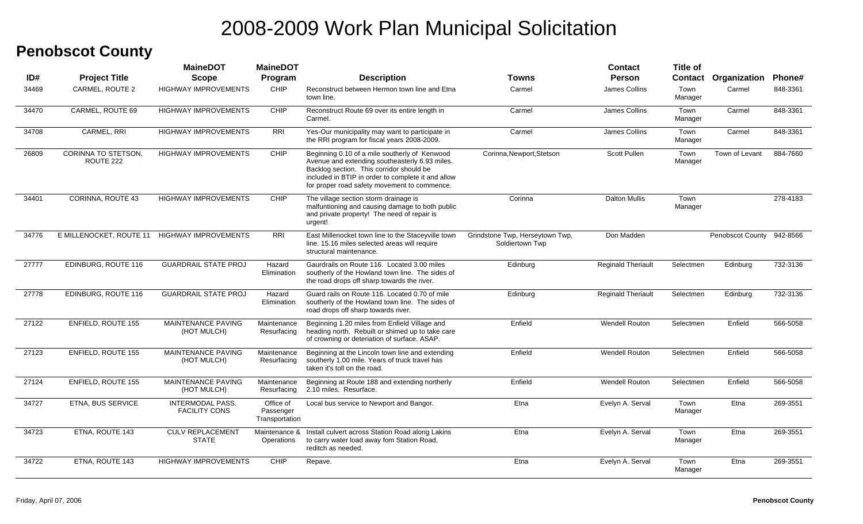#### **Penobscot County**

| ID#   | <b>Project Title</b>                    | <b>MaineDOT</b><br><b>Scope</b>                 | <b>MaineDOT</b><br>Program               | <b>Description</b>                                                                                                                                                                                                                                | Towns                                              | <b>Contact</b><br><b>Person</b> | <b>Title of</b> | Contact Organization Phone# |          |
|-------|-----------------------------------------|-------------------------------------------------|------------------------------------------|---------------------------------------------------------------------------------------------------------------------------------------------------------------------------------------------------------------------------------------------------|----------------------------------------------------|---------------------------------|-----------------|-----------------------------|----------|
| 34469 | CARMEL, ROUTE 2                         | <b>HIGHWAY IMPROVEMENTS</b>                     | <b>CHIP</b>                              | Reconstruct between Hermon town line and Etna<br>town line.                                                                                                                                                                                       | Carmel                                             | James Collins                   | Town<br>Manager | Carmel                      | 848-3361 |
| 34470 | CARMEL, ROUTE 69                        | <b>HIGHWAY IMPROVEMENTS</b>                     | CHIP                                     | Reconstruct Route 69 over its entire length in<br>Carmel.                                                                                                                                                                                         | Carmel                                             | James Collins                   | Town<br>Manager | Carmel                      | 848-3361 |
| 34708 | CARMEL, RRI                             | <b>HIGHWAY IMPROVEMENTS</b>                     | <b>RRI</b>                               | Yes-Our municipality may want to participate in<br>the RRI program for fiscal years 2008-2009.                                                                                                                                                    | Carmel                                             | James Collins                   | Town<br>Manager | Carmel                      | 848-3361 |
| 26809 | <b>CORINNA TO STETSON,</b><br>ROUTE 222 | <b>HIGHWAY IMPROVEMENTS</b>                     | <b>CHIP</b>                              | Beginning 0.10 of a mile southerly of Kenwood<br>Avenue and extending southeasterly 6.93 miles.<br>Backlog section. This corridor should be<br>included in BTIP in order to complete it and allow<br>for proper road safety movement to commence. | Corinna, Newport, Stetson                          | <b>Scott Pullen</b>             | Town<br>Manager | Town of Levant              | 884-7660 |
| 34401 | CORINNA, ROUTE 43                       | <b>HIGHWAY IMPROVEMENTS</b>                     | CHIP                                     | The village section storm drainage is<br>malfuntioning and causing damage to both public<br>and private property! The need of repair is<br>urgent!                                                                                                | Corinna                                            | <b>Dalton Mullis</b>            | Town<br>Manager |                             | 278-4183 |
| 34776 |                                         | E MILLENOCKET, ROUTE 11 HIGHWAY IMPROVEMENTS    | RRI                                      | East Millenocket town line to the Staceyville town<br>line. 15.16 miles selected areas will require<br>structural maintenance.                                                                                                                    | Grindstone Twp, Herseytown Twp,<br>Soldiertown Twp | Don Madden                      |                 | Penobscot County            | 942-8566 |
| 27777 | EDINBURG, ROUTE 116                     | <b>GUARDRAIL STATE PROJ</b>                     | Hazard<br>Elimination                    | Gaurdrails on Route 116. Located 3.00 miles<br>southerly of the Howland town line. The sides of<br>the road drops off sharp towards the river.                                                                                                    | Edinburg                                           | <b>Reginald Theriault</b>       | Selectmen       | Edinburg                    | 732-3136 |
| 27778 | EDINBURG, ROUTE 116                     | <b>GUARDRAIL STATE PROJ</b>                     | Hazard<br>Elimination                    | Guard rails on Route 116. Located 0.70 of mile<br>southerly of the Howland town line. The sides of<br>road drops off sharp towards river.                                                                                                         | Edinburg                                           | <b>Reginald Theriault</b>       | Selectmen       | Edinburg                    | 732-3136 |
| 27122 | ENFIELD, ROUTE 155                      | <b>MAINTENANCE PAVING</b><br>(HOT MULCH)        | Maintenance<br>Resurfacing               | Beginning 1.20 miles from Enfield Village and<br>heading north. Rebuilt or shimed up to take care<br>of crowning or deteriation of surface. ASAP.                                                                                                 | Enfield                                            | <b>Wendell Routon</b>           | Selectmen       | Enfield                     | 566-5058 |
| 27123 | ENFIELD, ROUTE 155                      | <b>MAINTENANCE PAVING</b><br>(HOT MULCH)        | Maintenance<br>Resurfacing               | Beginning at the Lincoln town line and extending<br>southerly 1.00 mile. Years of truck travel has<br>taken it's toll on the road.                                                                                                                | Enfield                                            | <b>Wendell Routon</b>           | Selectmen       | Enfield                     | 566-5058 |
| 27124 | ENFIELD, ROUTE 155                      | <b>MAINTENANCE PAVING</b><br>(HOT MULCH)        | Maintenance<br>Resurfacing               | Beginning at Route 188 and extending northerly<br>2.10 miles. Resurface.                                                                                                                                                                          | Enfield                                            | <b>Wendell Routon</b>           | Selectmen       | Enfield                     | 566-5058 |
| 34727 | ETNA, BUS SERVICE                       | <b>INTERMODAL PASS.</b><br><b>FACILITY CONS</b> | Office of<br>Passenger<br>Transportation | Local bus service to Newport and Bangor.                                                                                                                                                                                                          | Etna                                               | Evelyn A. Serval                | Town<br>Manager | Etna                        | 269-3551 |
| 34723 | ETNA, ROUTE 143                         | <b>CULV REPLACEMENT</b><br><b>STATE</b>         | Operations                               | Maintenance & Install culvert across Station Road along Lakins<br>to carry water load away fom Station Road,<br>reditch as needed.                                                                                                                | Etna                                               | Evelyn A. Serval                | Town<br>Manager | Etna                        | 269-3551 |
| 34722 | ETNA, ROUTE 143                         | <b>HIGHWAY IMPROVEMENTS</b>                     | <b>CHIP</b>                              | Repave.                                                                                                                                                                                                                                           | Etna                                               | Evelyn A. Serval                | Town<br>Manager | Etna                        | 269-3551 |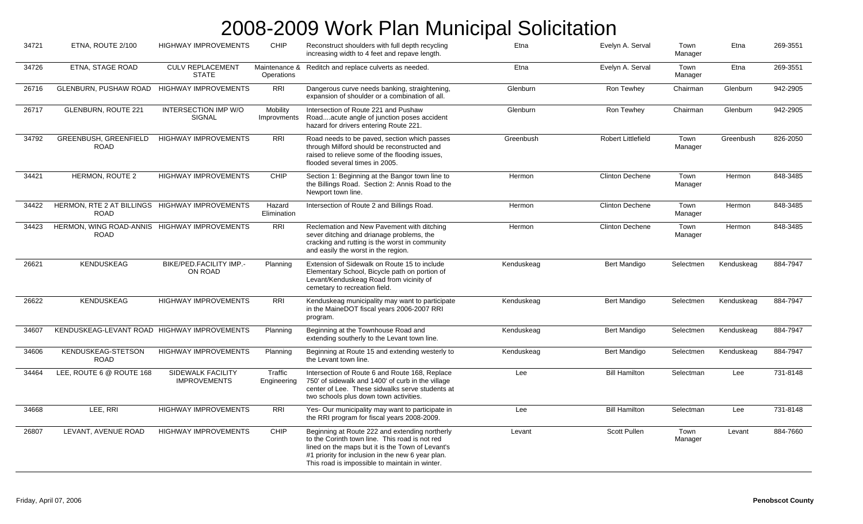| 34721 | ETNA, ROUTE 2/100                                             | <b>HIGHWAY IMPROVEMENTS</b>                     | CHIP                    | Reconstruct shoulders with full depth recycling<br>increasing width to 4 feet and repave length.                                                                                                                                                            | Etna       | Evelyn A. Serval          | Town<br>Manager | Etna       | 269-3551 |
|-------|---------------------------------------------------------------|-------------------------------------------------|-------------------------|-------------------------------------------------------------------------------------------------------------------------------------------------------------------------------------------------------------------------------------------------------------|------------|---------------------------|-----------------|------------|----------|
| 34726 | ETNA, STAGE ROAD                                              | <b>CULV REPLACEMENT</b><br><b>STATE</b>         | Operations              | Maintenance & Reditch and replace culverts as needed.                                                                                                                                                                                                       | Etna       | Evelyn A. Serval          | Town<br>Manager | Etna       | 269-3551 |
| 26716 | <b>GLENBURN, PUSHAW ROAD</b>                                  | <b>HIGHWAY IMPROVEMENTS</b>                     | <b>RRI</b>              | Dangerous curve needs banking, straightening,<br>expansion of shoulder or a combination of all.                                                                                                                                                             | Glenburn   | Ron Tewhey                | Chairman        | Glenburn   | 942-2905 |
| 26717 | <b>GLENBURN, ROUTE 221</b>                                    | INTERSECTION IMP W/O<br><b>SIGNAL</b>           | Mobility<br>Improvments | Intersection of Route 221 and Pushaw<br>Roadacute angle of junction poses accident<br>hazard for drivers entering Route 221.                                                                                                                                | Glenburn   | Ron Tewhey                | Chairman        | Glenburn   | 942-2905 |
| 34792 | <b>GREENBUSH, GREENFIELD</b><br><b>ROAD</b>                   | <b>HIGHWAY IMPROVEMENTS</b>                     | <b>RRI</b>              | Road needs to be paved, section which passes<br>through Milford should be reconstructed and<br>raised to relieve some of the flooding issues.<br>flooded several times in 2005.                                                                             | Greenbush  | <b>Robert Littlefield</b> | Town<br>Manager | Greenbush  | 826-2050 |
| 34421 | HERMON, ROUTE 2                                               | <b>HIGHWAY IMPROVEMENTS</b>                     | <b>CHIP</b>             | Section 1: Beginning at the Bangor town line to<br>the Billings Road. Section 2: Annis Road to the<br>Newport town line.                                                                                                                                    | Hermon     | <b>Clinton Dechene</b>    | Town<br>Manager | Hermon     | 848-3485 |
| 34422 | HERMON, RTE 2 AT BILLINGS HIGHWAY IMPROVEMENTS<br><b>ROAD</b> |                                                 | Hazard<br>Elimination   | Intersection of Route 2 and Billings Road.                                                                                                                                                                                                                  | Hermon     | <b>Clinton Dechene</b>    | Town<br>Manager | Hermon     | 848-3485 |
| 34423 | HERMON, WING ROAD-ANNIS HIGHWAY IMPROVEMENTS<br><b>ROAD</b>   |                                                 | <b>RRI</b>              | Reclemation and New Pavement with ditching<br>sever ditching and drianage problems, the<br>cracking and rutting is the worst in community<br>and easily the worst in the region.                                                                            | Hermon     | <b>Clinton Dechene</b>    | Town<br>Manager | Hermon     | 848-3485 |
| 26621 | <b>KENDUSKEAG</b>                                             | BIKE/PED.FACILITY IMP.-<br>ON ROAD              | Planning                | Extension of Sidewalk on Route 15 to include<br>Elementary School, Bicycle path on portion of<br>Levant/Kenduskeag Road from vicinity of<br>cemetary to recreation field.                                                                                   | Kenduskeag | Bert Mandigo              | Selectmen       | Kenduskeag | 884-7947 |
| 26622 | <b>KENDUSKEAG</b>                                             | <b>HIGHWAY IMPROVEMENTS</b>                     | $\overline{RRI}$        | Kenduskeag municipality may want to participate<br>in the MaineDOT fiscal years 2006-2007 RRI<br>program.                                                                                                                                                   | Kenduskeag | Bert Mandigo              | Selectmen       | Kenduskeag | 884-7947 |
| 34607 | KENDUSKEAG-LEVANT ROAD HIGHWAY IMPROVEMENTS                   |                                                 | Planning                | Beginning at the Townhouse Road and<br>extending southerly to the Levant town line.                                                                                                                                                                         | Kenduskeag | Bert Mandigo              | Selectmen       | Kenduskeag | 884-7947 |
| 34606 | <b>KENDUSKEAG-STETSON</b><br><b>ROAD</b>                      | <b>HIGHWAY IMPROVEMENTS</b>                     | Planning                | Beginning at Route 15 and extending westerly to<br>the Levant town line.                                                                                                                                                                                    | Kenduskeag | Bert Mandigo              | Selectmen       | Kenduskeag | 884-7947 |
| 34464 | LEE, ROUTE 6 @ ROUTE 168                                      | <b>SIDEWALK FACILITY</b><br><b>IMPROVEMENTS</b> | Traffic<br>Engineering  | Intersection of Route 6 and Route 168, Replace<br>750' of sidewalk and 1400' of curb in the village<br>center of Lee. These sidwalks serve students at<br>two schools plus down town activities.                                                            | Lee        | <b>Bill Hamilton</b>      | Selectman       | Lee        | 731-8148 |
| 34668 | LEE, RRI                                                      | <b>HIGHWAY IMPROVEMENTS</b>                     | <b>RRI</b>              | Yes- Our municipality may want to participate in<br>the RRI program for fiscal years 2008-2009.                                                                                                                                                             | Lee        | <b>Bill Hamilton</b>      | Selectman       | Lee        | 731-8148 |
| 26807 | LEVANT, AVENUE ROAD                                           | <b>HIGHWAY IMPROVEMENTS</b>                     | CHIP                    | Beginning at Route 222 and extending northerly<br>to the Corinth town line. This road is not red<br>lined on the maps but it is the Town of Levant's<br>#1 priority for inclusion in the new 6 year plan.<br>This road is impossible to maintain in winter. | Levant     | <b>Scott Pullen</b>       | Town<br>Manager | Levant     | 884-7660 |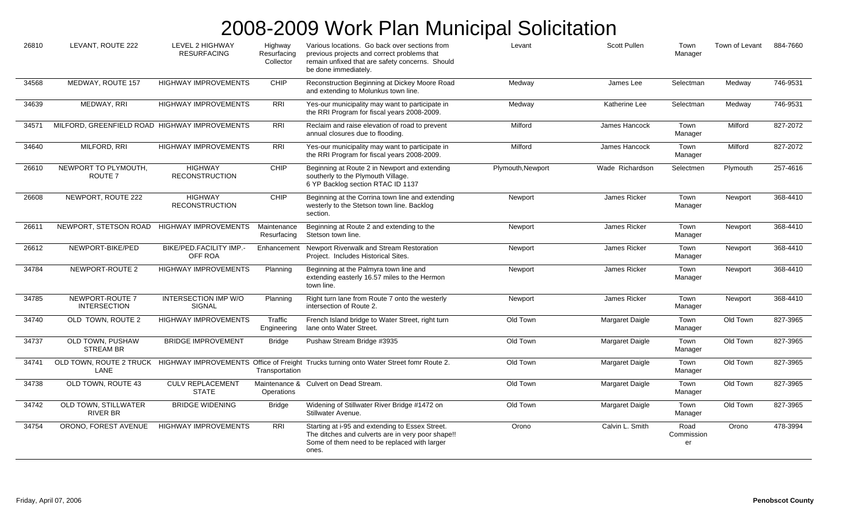| 26810 | LEVANT, ROUTE 222                             | <b>LEVEL 2 HIGHWAY</b><br><b>RESURFACING</b> | Highway<br>Resurfacing<br>Collector | Various locations. Go back over sections from<br>previous projects and correct problems that<br>remain unfixed that are safety concerns. Should<br>be done immediately. | Levant            | <b>Scott Pullen</b> | Town<br>Manager          | Town of Levant | 884-7660 |
|-------|-----------------------------------------------|----------------------------------------------|-------------------------------------|-------------------------------------------------------------------------------------------------------------------------------------------------------------------------|-------------------|---------------------|--------------------------|----------------|----------|
| 34568 | MEDWAY, ROUTE 157                             | <b>HIGHWAY IMPROVEMENTS</b>                  | CHIP                                | Reconstruction Beginning at Dickey Moore Road<br>and extending to Molunkus town line.                                                                                   | Medway            | James Lee           | Selectman                | Medway         | 746-9531 |
| 34639 | MEDWAY, RRI                                   | <b>HIGHWAY IMPROVEMENTS</b>                  | <b>RRI</b>                          | Yes-our municipality may want to participate in<br>the RRI Program for fiscal years 2008-2009.                                                                          | Medway            | Katherine Lee       | Selectman                | Medway         | 746-9531 |
| 34571 | MILFORD, GREENFIELD ROAD HIGHWAY IMPROVEMENTS |                                              | <b>RRI</b>                          | Reclaim and raise elevation of road to prevent<br>annual closures due to flooding.                                                                                      | Milford           | James Hancock       | Town<br>Manager          | Milford        | 827-2072 |
| 34640 | MILFORD, RRI                                  | <b>HIGHWAY IMPROVEMENTS</b>                  | <b>RRI</b>                          | Yes-our municipality may want to participate in<br>the RRI Program for fiscal years 2008-2009.                                                                          | Milford           | James Hancock       | Town<br>Manager          | Milford        | 827-2072 |
| 26610 | NEWPORT TO PLYMOUTH,<br>ROUTE <sub>7</sub>    | <b>HIGHWAY</b><br><b>RECONSTRUCTION</b>      | CHIP                                | Beginning at Route 2 in Newport and extending<br>southerly to the Plymouth Village.<br>6 YP Backlog section RTAC ID 1137                                                | Plymouth, Newport | Wade Richardson     | Selectmen                | Plymouth       | 257-4616 |
| 26608 | NEWPORT, ROUTE 222                            | <b>HIGHWAY</b><br><b>RECONSTRUCTION</b>      | CHIP                                | Beginning at the Corrina town line and extending<br>westerly to the Stetson town line. Backlog<br>section.                                                              | Newport           | James Ricker        | Town<br>Manager          | Newport        | 368-4410 |
| 26611 | NEWPORT, STETSON ROAD                         | <b>HIGHWAY IMPROVEMENTS</b>                  | Maintenance<br>Resurfacing          | Beginning at Route 2 and extending to the<br>Stetson town line.                                                                                                         | Newport           | James Ricker        | Town<br>Manager          | Newport        | 368-4410 |
| 26612 | NEWPORT-BIKE/PED                              | BIKE/PED.FACILITY IMP.-<br>OFF ROA           |                                     | Enhancement Newport Riverwalk and Stream Restoration<br>Project. Includes Historical Sites.                                                                             | Newport           | James Ricker        | Town<br>Manager          | Newport        | 368-4410 |
| 34784 | NEWPORT-ROUTE 2                               | <b>HIGHWAY IMPROVEMENTS</b>                  | Planning                            | Beginning at the Palmyra town line and<br>extending easterly 16.57 miles to the Hermon<br>town line.                                                                    | Newport           | James Ricker        | Town<br>Manager          | Newport        | 368-4410 |
| 34785 | NEWPORT-ROUTE 7<br><b>INTERSECTION</b>        | <b>INTERSECTION IMP W/O</b><br><b>SIGNAL</b> | Planning                            | Right turn lane from Route 7 onto the westerly<br>intersection of Route 2.                                                                                              | Newport           | James Ricker        | Town<br>Manager          | Newport        | 368-4410 |
| 34740 | OLD TOWN, ROUTE 2                             | <b>HIGHWAY IMPROVEMENTS</b>                  | Traffic<br>Engineering              | French Island bridge to Water Street, right turn<br>lane onto Water Street.                                                                                             | Old Town          | Margaret Daigle     | Town<br>Manager          | Old Town       | 827-3965 |
| 34737 | OLD TOWN, PUSHAW<br><b>STREAM BR</b>          | <b>BRIDGE IMPROVEMENT</b>                    | <b>Bridge</b>                       | Pushaw Stream Bridge #3935                                                                                                                                              | Old Town          | Margaret Daigle     | Town<br>Manager          | Old Town       | 827-3965 |
| 34741 | LANE                                          |                                              | Transportation                      | OLD TOWN, ROUTE 2 TRUCK HIGHWAY IMPROVEMENTS Office of Freight Trucks turning onto Water Street fomr Route 2.                                                           | Old Town          | Margaret Daigle     | Town<br>Manager          | Old Town       | 827-3965 |
| 34738 | OLD TOWN, ROUTE 43                            | <b>CULV REPLACEMENT</b><br><b>STATE</b>      | Operations                          | Maintenance & Culvert on Dead Stream.                                                                                                                                   | Old Town          | Margaret Daigle     | Town<br>Manager          | Old Town       | 827-3965 |
| 34742 | OLD TOWN, STILLWATER<br>RIVER BR              | <b>BRIDGE WIDENING</b>                       | <b>Bridge</b>                       | Widening of Stillwater River Bridge #1472 on<br>Stillwater Avenue.                                                                                                      | Old Town          | Margaret Daigle     | Town<br>Manager          | Old Town       | 827-3965 |
| 34754 | ORONO, FOREST AVENUE                          | <b>HIGHWAY IMPROVEMENTS</b>                  | <b>RRI</b>                          | Starting at i-95 and extending to Essex Street.<br>The ditches and culverts are in very poor shape!!<br>Some of them need to be replaced with larger<br>ones.           | Orono             | Calvin L. Smith     | Road<br>Commission<br>er | Orono          | 478-3994 |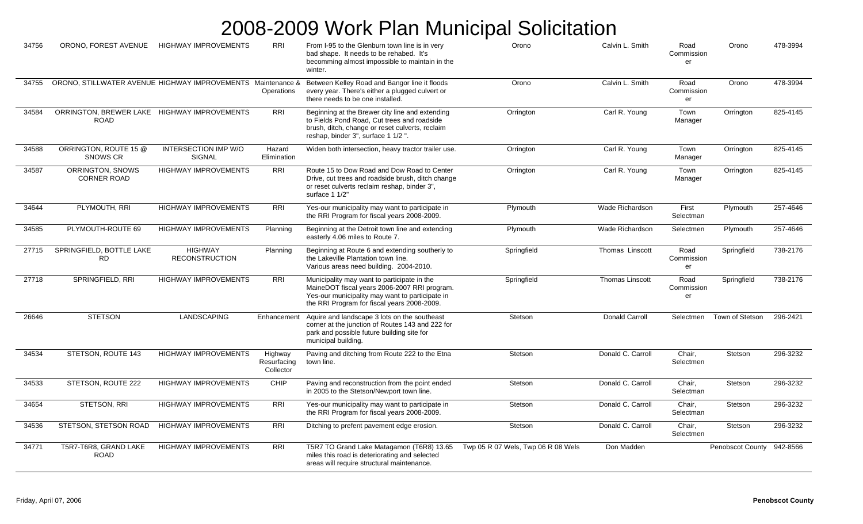| 34756 | ORONO, FOREST AVENUE                                        | <b>HIGHWAY IMPROVEMENTS</b>                  | <b>RRI</b>                          | From I-95 to the Glenburn town line is in very<br>bad shape. It needs to be rehabed. It's<br>becomming almost impossible to maintain in the<br>winter.                                        | Orono                              | Calvin L. Smith        | Road<br>Commission<br>er | Orono                   | 478-3994 |
|-------|-------------------------------------------------------------|----------------------------------------------|-------------------------------------|-----------------------------------------------------------------------------------------------------------------------------------------------------------------------------------------------|------------------------------------|------------------------|--------------------------|-------------------------|----------|
| 34755 | ORONO, STILLWATER AVENUE HIGHWAY IMPROVEMENTS Maintenance & |                                              | Operations                          | Between Kelley Road and Bangor line it floods<br>every year. There's either a plugged culvert or<br>there needs to be one installed.                                                          | Orono                              | Calvin L. Smith        | Road<br>Commission<br>er | Orono                   | 478-3994 |
| 34584 | ORRINGTON, BREWER LAKE HIGHWAY IMPROVEMENTS<br><b>ROAD</b>  |                                              | <b>RRI</b>                          | Beginning at the Brewer city line and extending<br>to Fields Pond Road, Cut trees and roadside<br>brush, ditch, change or reset culverts, reclaim<br>reshap, binder 3", surface 1 1/2".       | Orrington                          | Carl R. Young          | Town<br>Manager          | Orrington               | 825-4145 |
| 34588 | ORRINGTON, ROUTE 15 @<br>SNOWS CR                           | <b>INTERSECTION IMP W/O</b><br><b>SIGNAL</b> | Hazard<br>Elimination               | Widen both intersection, heavy tractor trailer use.                                                                                                                                           | Orrington                          | Carl R. Young          | Town<br>Manager          | Orrington               | 825-4145 |
| 34587 | ORRINGTON, SNOWS<br><b>CORNER ROAD</b>                      | <b>HIGHWAY IMPROVEMENTS</b>                  | <b>RRI</b>                          | Route 15 to Dow Road and Dow Road to Center<br>Drive, cut trees and roadside brush, ditch change<br>or reset culverts reclaim reshap, binder 3",<br>surface 1 1/2"                            | Orrington                          | Carl R. Young          | Town<br>Manager          | Orrington               | 825-4145 |
| 34644 | PLYMOUTH, RRI                                               | <b>HIGHWAY IMPROVEMENTS</b>                  | RRI                                 | Yes-our municipality may want to participate in<br>the RRI Program for fiscal years 2008-2009.                                                                                                | Plymouth                           | Wade Richardson        | First<br>Selectman       | Plymouth                | 257-4646 |
| 34585 | PLYMOUTH-ROUTE 69                                           | <b>HIGHWAY IMPROVEMENTS</b>                  | Planning                            | Beginning at the Detroit town line and extending<br>easterly 4.06 miles to Route 7.                                                                                                           | Plymouth                           | Wade Richardson        | Selectmen                | Plymouth                | 257-4646 |
| 27715 | SPRINGFIELD, BOTTLE LAKE<br><b>RD</b>                       | <b>HIGHWAY</b><br><b>RECONSTRUCTION</b>      | Planning                            | Beginning at Route 6 and extending southerly to<br>the Lakeville Plantation town line.<br>Various areas need building. 2004-2010.                                                             | Springfield                        | Thomas Linscott        | Road<br>Commission<br>er | Springfield             | 738-2176 |
| 27718 | SPRINGFIELD, RRI                                            | <b>HIGHWAY IMPROVEMENTS</b>                  | <b>RRI</b>                          | Municipality may want to participate in the<br>MaineDOT fiscal years 2006-2007 RRI program.<br>Yes-our municipality may want to participate in<br>the RRI Program for fiscal years 2008-2009. | Springfield                        | <b>Thomas Linscott</b> | Road<br>Commission<br>er | Springfield             | 738-2176 |
| 26646 | <b>STETSON</b>                                              | <b>LANDSCAPING</b>                           | Enhancement                         | Aquire and landscape 3 lots on the southeast<br>corner at the junction of Routes 143 and 222 for<br>park and possible future building site for<br>municipal building.                         | Stetson                            | Donald Carroll         | Selectmen                | Town of Stetson         | 296-2421 |
| 34534 | STETSON, ROUTE 143                                          | <b>HIGHWAY IMPROVEMENTS</b>                  | Highway<br>Resurfacing<br>Collector | Paving and ditching from Route 222 to the Etna<br>town line.                                                                                                                                  | Stetson                            | Donald C. Carroll      | Chair.<br>Selectmen      | Stetson                 | 296-3232 |
| 34533 | STETSON, ROUTE 222                                          | <b>HIGHWAY IMPROVEMENTS</b>                  | CHIP                                | Paving and reconstruction from the point ended<br>in 2005 to the Stetson/Newport town line.                                                                                                   | Stetson                            | Donald C. Carroll      | Chair,<br>Selectman      | Stetson                 | 296-3232 |
| 34654 | STETSON, RRI                                                | HIGHWAY IMPROVEMENTS                         | <b>RRI</b>                          | Yes-our municipality may want to participate in<br>the RRI Program for fiscal years 2008-2009.                                                                                                | Stetson                            | Donald C. Carroll      | Chair,<br>Selectman      | Stetson                 | 296-3232 |
| 34536 | STETSON, STETSON ROAD                                       | <b>HIGHWAY IMPROVEMENTS</b>                  | <b>RRI</b>                          | Ditching to prefent pavement edge erosion.                                                                                                                                                    | Stetson                            | Donald C. Carroll      | Chair,<br>Selectmen      | Stetson                 | 296-3232 |
| 34771 | T5R7-T6R8, GRAND LAKE<br><b>ROAD</b>                        | <b>HIGHWAY IMPROVEMENTS</b>                  | <b>RRI</b>                          | T5R7 TO Grand Lake Matagamon (T6R8) 13.65<br>miles this road is deteriorating and selected<br>areas will require structural maintenance.                                                      | Twp 05 R 07 Wels, Twp 06 R 08 Wels | Don Madden             |                          | <b>Penobscot County</b> | 942-8566 |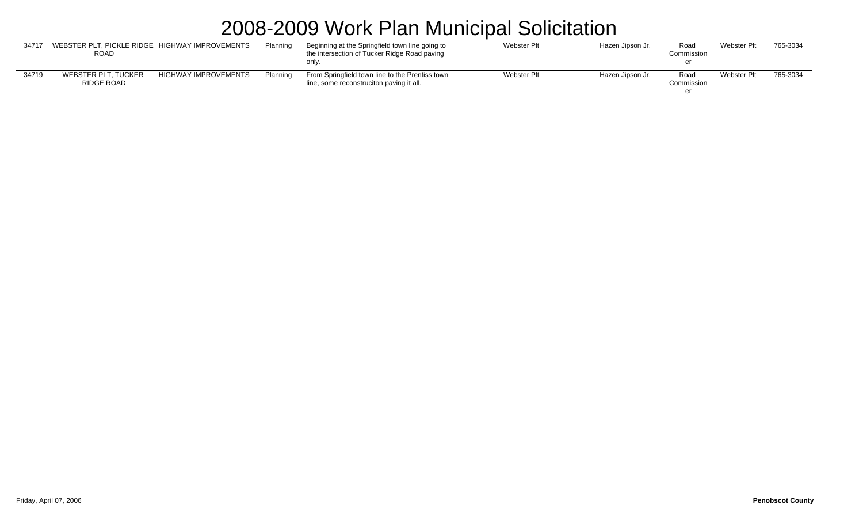| 34717 | WEBSTER PLT, PICKLE RIDGE HIGHWAY IMPROVEMENTS<br><b>ROAD</b> |                             | Planninc | Beginning at the Springfield town line going to<br>the intersection of Tucker Ridge Road paving<br>only. | <b>Webster Plt</b> | Hazen Jipson Jr. | Road<br>Commission | Webster Plt        | 765-3034 |
|-------|---------------------------------------------------------------|-----------------------------|----------|----------------------------------------------------------------------------------------------------------|--------------------|------------------|--------------------|--------------------|----------|
| 34719 | WEBSTER PLT. TUCKER<br>RIDGE ROAD                             | <b>HIGHWAY IMPROVEMENTS</b> | Planning | From Springfield town line to the Prentiss town<br>line, some reconstruciton paving it all.              | Webster Plt        | Hazen Jipson Jr. | Roac<br>Commission | <b>Webster Plt</b> | 765-3034 |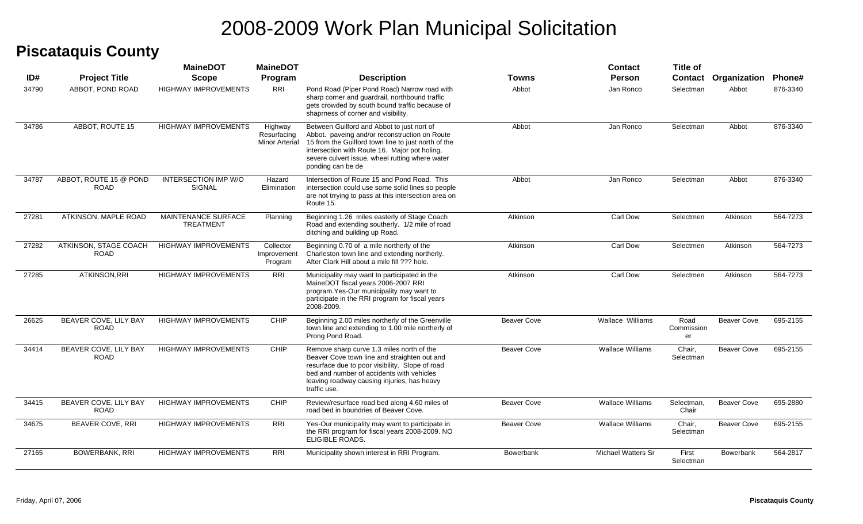#### **Piscataquis County**

|       |                                       | <b>MaineDOT</b>                                | <b>MaineDOT</b>                          |                                                                                                                                                                                                                                                                             |                    | <b>Contact</b>            | <b>Title of</b>          |                    |               |
|-------|---------------------------------------|------------------------------------------------|------------------------------------------|-----------------------------------------------------------------------------------------------------------------------------------------------------------------------------------------------------------------------------------------------------------------------------|--------------------|---------------------------|--------------------------|--------------------|---------------|
| ID#   | <b>Project Title</b>                  | <b>Scope</b>                                   | Program                                  | <b>Description</b>                                                                                                                                                                                                                                                          | Towns              | <b>Person</b>             | <b>Contact</b>           | Organization       | <b>Phone#</b> |
| 34790 | ABBOT, POND ROAD                      | <b>HIGHWAY IMPROVEMENTS</b>                    | <b>RRI</b>                               | Pond Road (Piper Pond Road) Narrow road with<br>sharp corner and quardrail, northbound traffic<br>gets crowded by south bound traffic because of<br>shapmess of corner and visibility.                                                                                      | Abbot              | Jan Ronco                 | Selectman                | Abbot              | 876-3340      |
| 34786 | ABBOT, ROUTE 15                       | <b>HIGHWAY IMPROVEMENTS</b>                    | Highway<br>Resurfacing<br>Minor Arterial | Between Guilford and Abbot to just nort of<br>Abbot. paveing and/or reconstruction on Route<br>15 from the Guilford town line to just north of the<br>intersection with Route 16. Major pot holing,<br>severe culvert issue, wheel rutting where water<br>ponding can be de | Abbot              | Jan Ronco                 | Selectman                | Abbot              | 876-3340      |
| 34787 | ABBOT, ROUTE 15 @ POND<br><b>ROAD</b> | <b>INTERSECTION IMP W/O</b><br>SIGNAL          | Hazard<br>Elimination                    | Intersection of Route 15 and Pond Road. This<br>intersection could use some solid lines so people<br>are not trrying to pass at this intersection area on<br>Route 15.                                                                                                      | Abbot              | Jan Ronco                 | Selectman                | Abbot              | 876-3340      |
| 27281 | ATKINSON, MAPLE ROAD                  | <b>MAINTENANCE SURFACE</b><br><b>TREATMENT</b> | Planning                                 | Beginning 1.26 miles easterly of Stage Coach<br>Road and extending southerly. 1/2 mile of road<br>ditching and building up Road.                                                                                                                                            | Atkinson           | Carl Dow                  | Selectmen                | Atkinson           | 564-7273      |
| 27282 | ATKINSON, STAGE COACH<br><b>ROAD</b>  | <b>HIGHWAY IMPROVEMENTS</b>                    | Collector<br>Improvement<br>Program      | Beginning 0.70 of a mile northerly of the<br>Charleston town line and extending northerly.<br>After Clark Hill about a mile fill ??? hole.                                                                                                                                  | Atkinson           | Carl Dow                  | Selectmen                | Atkinson           | 564-7273      |
| 27285 | ATKINSON, RRI                         | <b>HIGHWAY IMPROVEMENTS</b>                    | RRI                                      | Municipality may want to participated in the<br>MaineDOT fiscal years 2006-2007 RRI<br>program. Yes-Our municipality may want to<br>participate in the RRI program for fiscal years<br>2008-2009.                                                                           | Atkinson           | Carl Dow                  | Selectmen                | Atkinson           | 564-7273      |
| 26625 | BEAVER COVE, LILY BAY<br><b>ROAD</b>  | <b>HIGHWAY IMPROVEMENTS</b>                    | CHIP                                     | Beginning 2.00 miles northerly of the Greenville<br>town line and extending to 1.00 mile northerly of<br>Prong Pond Road.                                                                                                                                                   | <b>Beaver Cove</b> | <b>Wallace Williams</b>   | Road<br>Commission<br>er | <b>Beaver Cove</b> | 695-2155      |
| 34414 | BEAVER COVE, LILY BAY<br><b>ROAD</b>  | <b>HIGHWAY IMPROVEMENTS</b>                    | CHIP                                     | Remove sharp curve 1.3 miles north of the<br>Beaver Cove town line and straighten out and<br>resurface due to poor visibility. Slope of road<br>bed and number of accidents with vehicles<br>leaving roadway causing injuries, has heavy<br>traffic use.                    | <b>Beaver Cove</b> | <b>Wallace Williams</b>   | Chair,<br>Selectman      | <b>Beaver Cove</b> | 695-2155      |
| 34415 | BEAVER COVE, LILY BAY<br><b>ROAD</b>  | <b>HIGHWAY IMPROVEMENTS</b>                    | CHIP                                     | Review/resurface road bed along 4.60 miles of<br>road bed in boundries of Beaver Cove.                                                                                                                                                                                      | <b>Beaver Cove</b> | <b>Wallace Williams</b>   | Selectman,<br>Chair      | <b>Beaver Cove</b> | 695-2880      |
| 34675 | <b>BEAVER COVE, RRI</b>               | <b>HIGHWAY IMPROVEMENTS</b>                    | RRI                                      | Yes-Our municipality may want to participate in<br>the RRI program for fiscal years 2008-2009. NO<br>ELIGIBLE ROADS.                                                                                                                                                        | <b>Beaver Cove</b> | <b>Wallace Williams</b>   | Chair,<br>Selectman      | <b>Beaver Cove</b> | 695-2155      |
| 27165 | <b>BOWERBANK, RRI</b>                 | <b>HIGHWAY IMPROVEMENTS</b>                    | RRI                                      | Municipality shown interest in RRI Program.                                                                                                                                                                                                                                 | <b>Bowerbank</b>   | <b>Michael Watters Sr</b> | First<br>Selectman       | <b>Bowerbank</b>   | 564-2817      |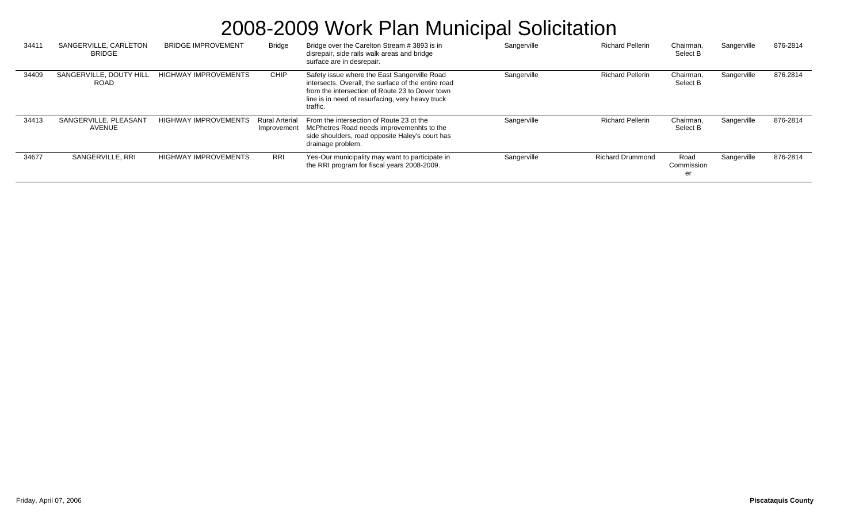| 3441' | SANGERVILLE, CARLETON<br><b>BRIDGE</b> | <b>BRIDGE IMPROVEMENT</b>   | <b>Bridge</b>                        | Bridge over the Carelton Stream # 3893 is in<br>disrepair, side rails walk areas and bridge<br>surface are in desrepair.                                                                                               | Sangerville | <b>Richard Pellerin</b> | Chairman,<br>Select B    | Sangerville | 876-2814 |
|-------|----------------------------------------|-----------------------------|--------------------------------------|------------------------------------------------------------------------------------------------------------------------------------------------------------------------------------------------------------------------|-------------|-------------------------|--------------------------|-------------|----------|
| 34409 | SANGERVILLE, DOUTY HILL<br><b>ROAD</b> | <b>HIGHWAY IMPROVEMENTS</b> | CHIP                                 | Safety issue where the East Sangerville Road<br>intersects. Overall, the surface of the entire road<br>from the intersection of Route 23 to Dover town<br>line is in need of resurfacing, very heavy truck<br>traffic. | Sangerville | <b>Richard Pellerin</b> | Chairman,<br>Select B    | Sangerville | 876.2814 |
| 34413 | SANGERVILLE, PLEASANT<br>AVENUE        | <b>HIGHWAY IMPROVEMENTS</b> | <b>Rural Arterial</b><br>Improvement | From the intersection of Route 23 ot the<br>McPhetres Road needs improvemenhts to the<br>side shoulders, road opposite Haley's court has<br>drainage problem.                                                          | Sangerville | <b>Richard Pellerin</b> | Chairman,<br>Select B    | Sangerville | 876-2814 |
| 34677 | SANGERVILLE, RRI                       | <b>HIGHWAY IMPROVEMENTS</b> | RRI                                  | Yes-Our municipality may want to participate in<br>the RRI program for fiscal years 2008-2009.                                                                                                                         | Sangerville | <b>Richard Drummond</b> | Road<br>Commission<br>er | Sangerville | 876-2814 |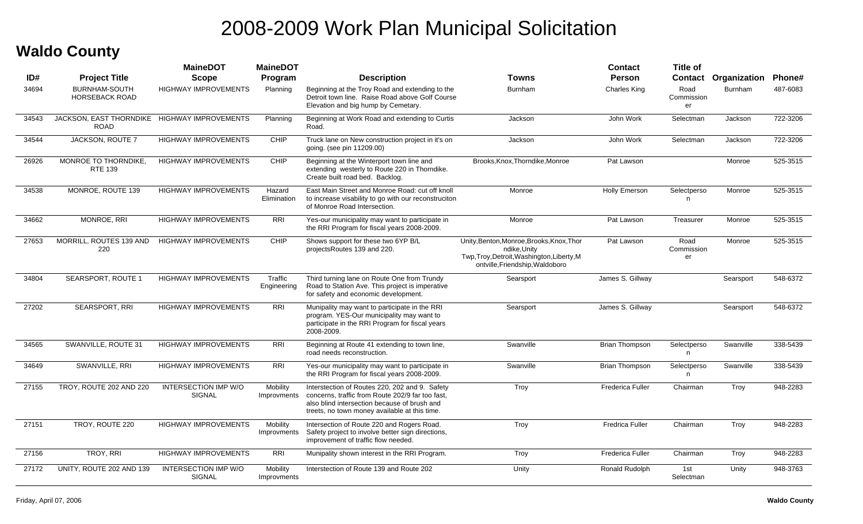#### **Waldo County**

|       |                                                             | <b>MaineDOT</b>                              | <b>MaineDOT</b>         |                                                                                                                                                                                                     |                                                                                                                                            | Contact                 | <b>Title of</b>          |                |          |
|-------|-------------------------------------------------------------|----------------------------------------------|-------------------------|-----------------------------------------------------------------------------------------------------------------------------------------------------------------------------------------------------|--------------------------------------------------------------------------------------------------------------------------------------------|-------------------------|--------------------------|----------------|----------|
| ID#   | <b>Project Title</b>                                        | <b>Scope</b>                                 | Program                 | <b>Description</b>                                                                                                                                                                                  | Towns                                                                                                                                      | <b>Person</b>           | <b>Contact</b>           | Organization   | Phone#   |
| 34694 | <b>BURNHAM-SOUTH</b><br><b>HORSEBACK ROAD</b>               | <b>HIGHWAY IMPROVEMENTS</b>                  | Planning                | Beginning at the Troy Road and extending to the<br>Detroit town line. Raise Road above Golf Course<br>Elevation and big hump by Cemetary.                                                           | <b>Burnham</b>                                                                                                                             | <b>Charles King</b>     | Road<br>Commission<br>er | <b>Burnham</b> | 487-6083 |
| 34543 | JACKSON, EAST THORNDIKE HIGHWAY IMPROVEMENTS<br><b>ROAD</b> |                                              | Planning                | Beginning at Work Road and extending to Curtis<br>Road.                                                                                                                                             | Jackson                                                                                                                                    | John Work               | Selectman                | Jackson        | 722-3206 |
| 34544 | JACKSON, ROUTE 7                                            | <b>HIGHWAY IMPROVEMENTS</b>                  | CHIP                    | Truck lane on New construction project in it's on<br>going. (see pin 11209.00)                                                                                                                      | Jackson                                                                                                                                    | John Work               | Selectman                | Jackson        | 722-3206 |
| 26926 | MONROE TO THORNDIKE.<br><b>RTE 139</b>                      | <b>HIGHWAY IMPROVEMENTS</b>                  | CHIP                    | Beginning at the Winterport town line and<br>extending westerly to Route 220 in Thorndike.<br>Create built road bed. Backlog.                                                                       | Brooks, Knox, Thorndike, Monroe                                                                                                            | Pat Lawson              |                          | Monroe         | 525-3515 |
| 34538 | MONROE, ROUTE 139                                           | <b>HIGHWAY IMPROVEMENTS</b>                  | Hazard<br>Elimination   | East Main Street and Monroe Road: cut off knoll<br>to increase visability to go with our reconstruciton<br>of Monroe Road Intersection.                                                             | Monroe                                                                                                                                     | <b>Holly Emerson</b>    | Selectperso<br>n.        | Monroe         | 525-3515 |
| 34662 | MONROE, RRI                                                 | <b>HIGHWAY IMPROVEMENTS</b>                  | <b>RRI</b>              | Yes-our municipality may want to participate in<br>the RRI Program for fiscal years 2008-2009.                                                                                                      | Monroe                                                                                                                                     | Pat Lawson              | Treasurer                | Monroe         | 525-3515 |
| 27653 | <b>MORRILL, ROUTES 139 AND</b><br>220                       | <b>HIGHWAY IMPROVEMENTS</b>                  | CHIP                    | Shows support for these two 6YP B/L<br>projectsRoutes 139 and 220.                                                                                                                                  | Unity, Benton, Monroe, Brooks, Knox, Thor<br>ndike, Unity<br>Twp, Troy, Detroit, Washington, Liberty, M<br>ontville, Friendship, Waldoboro | Pat Lawson              | Road<br>Commission<br>er | Monroe         | 525-3515 |
| 34804 | <b>SEARSPORT, ROUTE 1</b>                                   | <b>HIGHWAY IMPROVEMENTS</b>                  | Traffic<br>Engineering  | Third turning lane on Route One from Trundy<br>Road to Station Ave. This project is imperative<br>for safety and economic development.                                                              | Searsport                                                                                                                                  | James S. Gillway        |                          | Searsport      | 548-6372 |
| 27202 | <b>SEARSPORT, RRI</b>                                       | <b>HIGHWAY IMPROVEMENTS</b>                  | <b>RRI</b>              | Munipality may want to participate in the RRI<br>program. YES-Our municipality may want to<br>participate in the RRI Program for fiscal years<br>2008-2009.                                         | Searsport                                                                                                                                  | James S. Gillway        |                          | Searsport      | 548-6372 |
| 34565 | SWANVILLE, ROUTE 31                                         | <b>HIGHWAY IMPROVEMENTS</b>                  | <b>RRI</b>              | Beginning at Route 41 extending to town line,<br>road needs reconstruction.                                                                                                                         | Swanville                                                                                                                                  | <b>Brian Thompson</b>   | Selectperso<br>n         | Swanville      | 338-5439 |
| 34649 | SWANVILLE, RRI                                              | <b>HIGHWAY IMPROVEMENTS</b>                  | <b>RRI</b>              | Yes-our municipality may want to participate in<br>the RRI Program for fiscal years 2008-2009.                                                                                                      | Swanville                                                                                                                                  | <b>Brian Thompson</b>   | Selectperso<br>n.        | Swanville      | 338-5439 |
| 27155 | TROY, ROUTE 202 AND 220                                     | <b>INTERSECTION IMP W/O</b><br><b>SIGNAL</b> | Mobility<br>Improvments | Interstection of Routes 220, 202 and 9. Safety<br>concerns, traffic from Route 202/9 far too fast.<br>also blind intersection because of brush and<br>treets, no town money available at this time. | Troy                                                                                                                                       | <b>Frederica Fuller</b> | Chairman                 | Troy           | 948-2283 |
| 27151 | TROY, ROUTE 220                                             | <b>HIGHWAY IMPROVEMENTS</b>                  | Mobility<br>Improvments | Intersection of Route 220 and Rogers Road.<br>Safety project to involve better sign directions,<br>improvement of traffic flow needed.                                                              | Troy                                                                                                                                       | <b>Fredrica Fuller</b>  | Chairman                 | Troy           | 948-2283 |
| 27156 | TROY, RRI                                                   | <b>HIGHWAY IMPROVEMENTS</b>                  | RRI                     | Munipality shown interest in the RRI Program.                                                                                                                                                       | Troy                                                                                                                                       | <b>Frederica Fuller</b> | Chairman                 | Troy           | 948-2283 |
| 27172 | UNITY, ROUTE 202 AND 139                                    | INTERSECTION IMP W/O<br>SIGNAL               | Mobility<br>Improvments | Interstection of Route 139 and Route 202                                                                                                                                                            | Unity                                                                                                                                      | Ronald Rudolph          | 1st<br>Selectman         | Unity          | 948-3763 |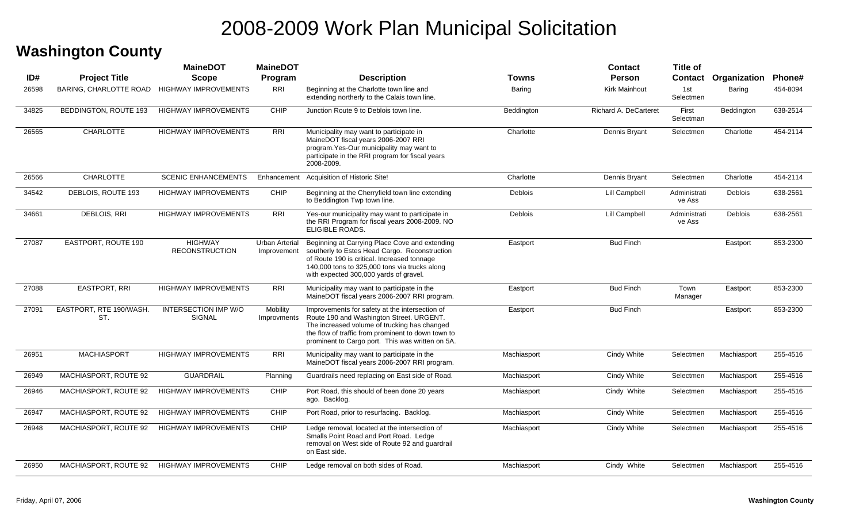#### **Washington County**

|       |                                | <b>MaineDOT</b>                         | <b>MaineDOT</b>               |                                                                                                                                                                                                                                                      |             | <b>Contact</b>        | <b>Title of</b>        |                             |          |
|-------|--------------------------------|-----------------------------------------|-------------------------------|------------------------------------------------------------------------------------------------------------------------------------------------------------------------------------------------------------------------------------------------------|-------------|-----------------------|------------------------|-----------------------------|----------|
| ID#   | <b>Project Title</b>           | <b>Scope</b>                            | Program                       | <b>Description</b>                                                                                                                                                                                                                                   | Towns       | <b>Person</b>         |                        | <b>Contact Organization</b> | Phone#   |
| 26598 | BARING, CHARLOTTE ROAD         | <b>HIGHWAY IMPROVEMENTS</b>             | RRI                           | Beginning at the Charlotte town line and<br>extending northerly to the Calais town line.                                                                                                                                                             | Baring      | Kirk Mainhout         | 1st<br>Selectmen       | Baring                      | 454-8094 |
| 34825 | BEDDINGTON, ROUTE 193          | <b>HIGHWAY IMPROVEMENTS</b>             | CHIP                          | Junction Route 9 to Deblois town line.                                                                                                                                                                                                               | Beddington  | Richard A. DeCarteret | First<br>Selectman     | Beddington                  | 638-2514 |
| 26565 | <b>CHARLOTTE</b>               | <b>HIGHWAY IMPROVEMENTS</b>             | <b>RRI</b>                    | Municipality may want to participate in<br>MaineDOT fiscal years 2006-2007 RRI<br>program. Yes-Our municipality may want to<br>participate in the RRI program for fiscal years<br>2008-2009.                                                         | Charlotte   | Dennis Bryant         | Selectmen              | Charlotte                   | 454-2114 |
| 26566 | <b>CHARLOTTE</b>               | <b>SCENIC ENHANCEMENTS</b>              |                               | Enhancement Acquisition of Historic Site!                                                                                                                                                                                                            | Charlotte   | Dennis Bryant         | Selectmen              | Charlotte                   | 454-2114 |
| 34542 | DEBLOIS, ROUTE 193             | <b>HIGHWAY IMPROVEMENTS</b>             | CHIP                          | Beginning at the Cherryfield town line extending<br>to Beddington Twp town line.                                                                                                                                                                     | Deblois     | Lill Campbell         | Administrati<br>ve Ass | <b>Deblois</b>              | 638-2561 |
| 34661 | DEBLOIS, RRI                   | <b>HIGHWAY IMPROVEMENTS</b>             | <b>RRI</b>                    | Yes-our municipality may want to participate in<br>the RRI Program for fiscal years 2008-2009. NO<br>ELIGIBLE ROADS.                                                                                                                                 | Deblois     | Lill Campbell         | Administrati<br>ve Ass | <b>Deblois</b>              | 638-2561 |
| 27087 | EASTPORT, ROUTE 190            | <b>HIGHWAY</b><br><b>RECONSTRUCTION</b> | Urban Arterial<br>Improvement | Beginning at Carrying Place Cove and extending<br>southerly to Estes Head Cargo. Reconstruction<br>of Route 190 is critical. Increased tonnage<br>140,000 tons to 325,000 tons via trucks along<br>with expected 300,000 yards of gravel.            | Eastport    | <b>Bud Finch</b>      |                        | Eastport                    | 853-2300 |
| 27088 | EASTPORT, RRI                  | <b>HIGHWAY IMPROVEMENTS</b>             | <b>RRI</b>                    | Municipality may want to participate in the<br>MaineDOT fiscal years 2006-2007 RRI program.                                                                                                                                                          | Eastport    | <b>Bud Finch</b>      | Town<br>Manager        | Eastport                    | 853-2300 |
| 27091 | EASTPORT, RTE 190/WASH.<br>ST. | INTERSECTION IMP W/O<br>SIGNAL          | Mobility<br>Improvments       | Improvements for safety at the intersection of<br>Route 190 and Washington Street. URGENT.<br>The increased volume of trucking has changed<br>the flow of traffic from prominent to down town to<br>prominent to Cargo port. This was written on 5A. | Eastport    | <b>Bud Finch</b>      |                        | Eastport                    | 853-2300 |
| 26951 | <b>MACHIASPORT</b>             | <b>HIGHWAY IMPROVEMENTS</b>             | <b>RRI</b>                    | Municipality may want to participate in the<br>MaineDOT fiscal years 2006-2007 RRI program.                                                                                                                                                          | Machiasport | Cindy White           | Selectmen              | Machiasport                 | 255-4516 |
| 26949 | MACHIASPORT, ROUTE 92          | <b>GUARDRAIL</b>                        | Planning                      | Guardrails need replacing on East side of Road.                                                                                                                                                                                                      | Machiasport | Cindy White           | Selectmen              | Machiasport                 | 255-4516 |
| 26946 | MACHIASPORT, ROUTE 92          | <b>HIGHWAY IMPROVEMENTS</b>             | <b>CHIP</b>                   | Port Road, this should of been done 20 years<br>ago. Backlog.                                                                                                                                                                                        | Machiasport | Cindy White           | Selectmen              | Machiasport                 | 255-4516 |
| 26947 | MACHIASPORT, ROUTE 92          | <b>HIGHWAY IMPROVEMENTS</b>             | CHIP                          | Port Road, prior to resurfacing. Backlog.                                                                                                                                                                                                            | Machiasport | Cindy White           | Selectmen              | Machiasport                 | 255-4516 |
| 26948 | MACHIASPORT, ROUTE 92          | <b>HIGHWAY IMPROVEMENTS</b>             | CHIP                          | Ledge removal, located at the intersection of<br>Smalls Point Road and Port Road. Ledge<br>removal on West side of Route 92 and guardrail<br>on East side.                                                                                           | Machiasport | Cindy White           | Selectmen              | Machiasport                 | 255-4516 |
| 26950 | MACHIASPORT, ROUTE 92          | <b>HIGHWAY IMPROVEMENTS</b>             | <b>CHIP</b>                   | Ledge removal on both sides of Road.                                                                                                                                                                                                                 | Machiasport | Cindy White           | Selectmen              | Machiasport                 | 255-4516 |